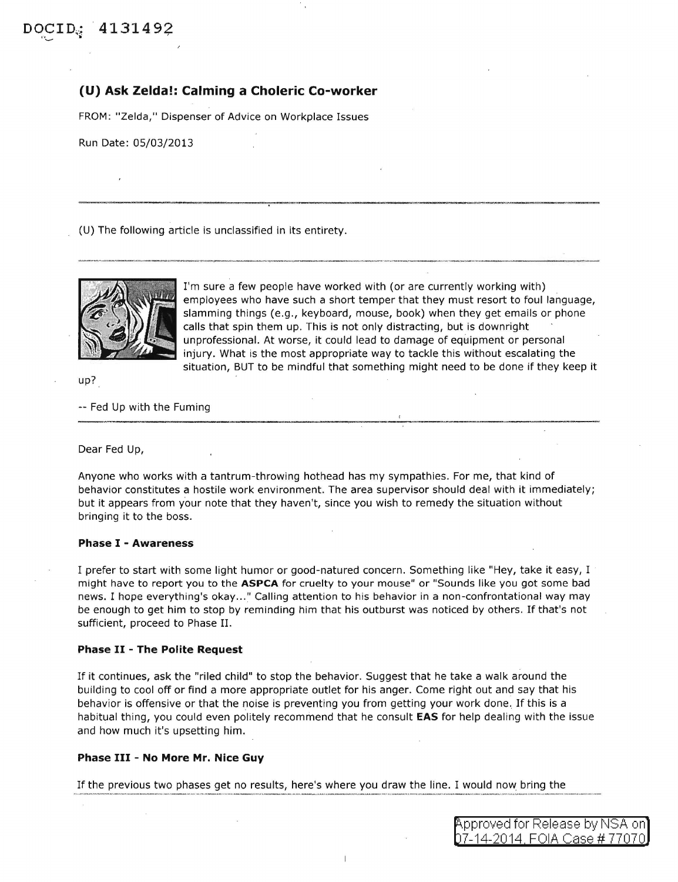## **(U) Ask Zelda!: Calming a Choleric Co-worker**

FROM: "Zelda," Dispenser of Advice on Workplace Issues

Run Date: 05/03/2013

(U) The following article is unclassified in its entirety.



I'm sure a few people have worked with (or are currently working with) employees who have such a short temper that they must resort to foul language, slamming things (e.g., keyboard, mouse, book) when they get emails or phone calls that spin them up. This is not only distracting, but is downright unprofessional. At worse, it could lead to damage of equipment or personal injury. What is the most appropriate way to tackle this without escalating the situation, BUT to be mindful that something might need to be done if they keep it

up?

-- Fed Up with the Fuming

Dear Fed Up,

Anyone who works with a tantrum-throwing hothead has my sympathies. For me, that kind of behavior constitutes a hostile work environment. The area supervisor should deal with it immediately; but it appears from your note that they haven't, since you wish to remedy the situation without bringing it to the boss.

## **Phase** I - **Awareness**

I prefer to start with some light humor or good-natured concern. Something like "Hey, take it easy, I might have to report you to the **ASPCA** for cruelty to your mouse" or "Sounds like you got some bad news. I hope everything's okay ... " Calling attention to his behavior in a non-confrontational way may be enough to get him to stop by reminding him that his outburst was noticed by others. If that's not sufficient, proceed to Phase II.

## **Phase** II - **The Polite Request**

If it continues, ask the "riled child" to stop the behavior. Suggest that he take a walk around the building to cool off or find a more appropriate outlet for his anger. Come right out and say that his behavior is offensive or that the noise is preventing you from getting your work done. If this is a habitual thing, you could even politely recommend that he consult **EAS** for help dealing with the issue and how much it's upsetting him.

## **Phase III - No More Mr. Nice Guy**

If the previous two phases get no results, here's where you draw the line. I would now. bring the